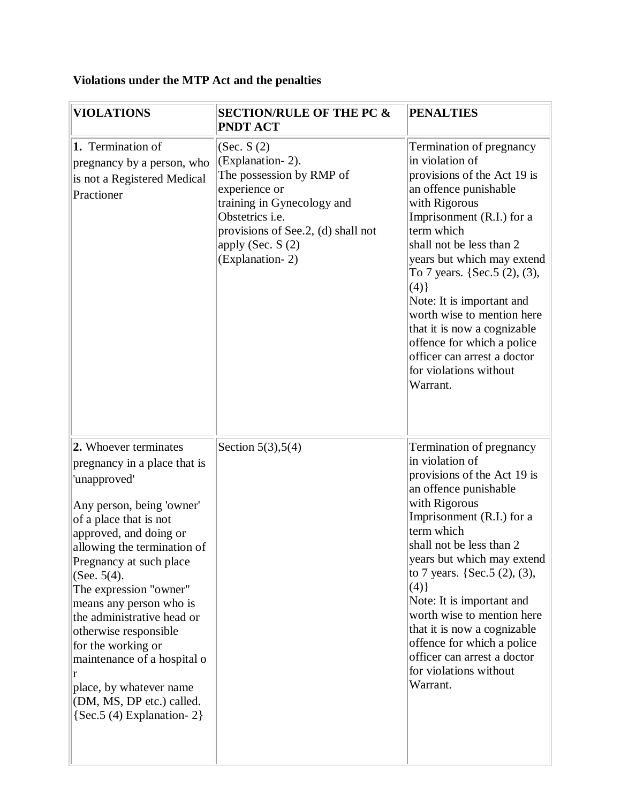## **Violations under the MTP Act and the penalties**

| <b>VIOLATIONS</b>                                                                                                                                                                                                                                                                                                                                                                                                                                                                               | <b>SECTION/RULE OF THE PC &amp;</b><br><b>PNDT ACT</b>                                                                                                                                                       | <b>PENALTIES</b>                                                                                                                                                                                                                                                                                                                                                                                                                                                    |
|-------------------------------------------------------------------------------------------------------------------------------------------------------------------------------------------------------------------------------------------------------------------------------------------------------------------------------------------------------------------------------------------------------------------------------------------------------------------------------------------------|--------------------------------------------------------------------------------------------------------------------------------------------------------------------------------------------------------------|---------------------------------------------------------------------------------------------------------------------------------------------------------------------------------------------------------------------------------------------------------------------------------------------------------------------------------------------------------------------------------------------------------------------------------------------------------------------|
| 1. Termination of<br>pregnancy by a person, who<br>is not a Registered Medical<br>Practioner                                                                                                                                                                                                                                                                                                                                                                                                    | (Sec. S(2))<br>(Explanation-2).<br>The possession by RMP of<br>experience or<br>training in Gynecology and<br>Obstetrics i.e.<br>provisions of See.2, (d) shall not<br>apply (Sec. $S(2)$<br>(Explanation-2) | Termination of pregnancy<br>in violation of<br>provisions of the Act 19 is<br>an offence punishable<br>with Rigorous<br>Imprisonment (R.I.) for a<br>term which<br>shall not be less than 2<br>years but which may extend<br>To 7 years. {Sec. $5(2)$ , $(3)$ ,<br>(4)<br>Note: It is important and<br>worth wise to mention here<br>that it is now a cognizable<br>offence for which a police<br>officer can arrest a doctor<br>for violations without<br>Warrant. |
| 2. Whoever terminates<br>pregnancy in a place that is<br>'unapproved'<br>Any person, being 'owner'<br>of a place that is not<br>approved, and doing or<br>allowing the termination of<br>Pregnancy at such place<br>(See. $5(4)$ .<br>The expression "owner"<br>means any person who is<br>the administrative head or<br>otherwise responsible<br>for the working or<br>maintenance of a hospital o<br>r<br>place, by whatever name<br>(DM, MS, DP etc.) called.<br>$\{Sec.5(4)$ Explanation-2} | Section $5(3)$ , $5(4)$                                                                                                                                                                                      | Termination of pregnancy<br>in violation of<br>provisions of the Act 19 is<br>an offence punishable<br>with Rigorous<br>Imprisonment (R.I.) for a<br>term which<br>shall not be less than 2<br>years but which may extend<br>to 7 years. {Sec. $5(2)$ , $(3)$ ,<br>(4)<br>Note: It is important and<br>worth wise to mention here<br>that it is now a cognizable<br>offence for which a police<br>officer can arrest a doctor<br>for violations without<br>Warrant. |